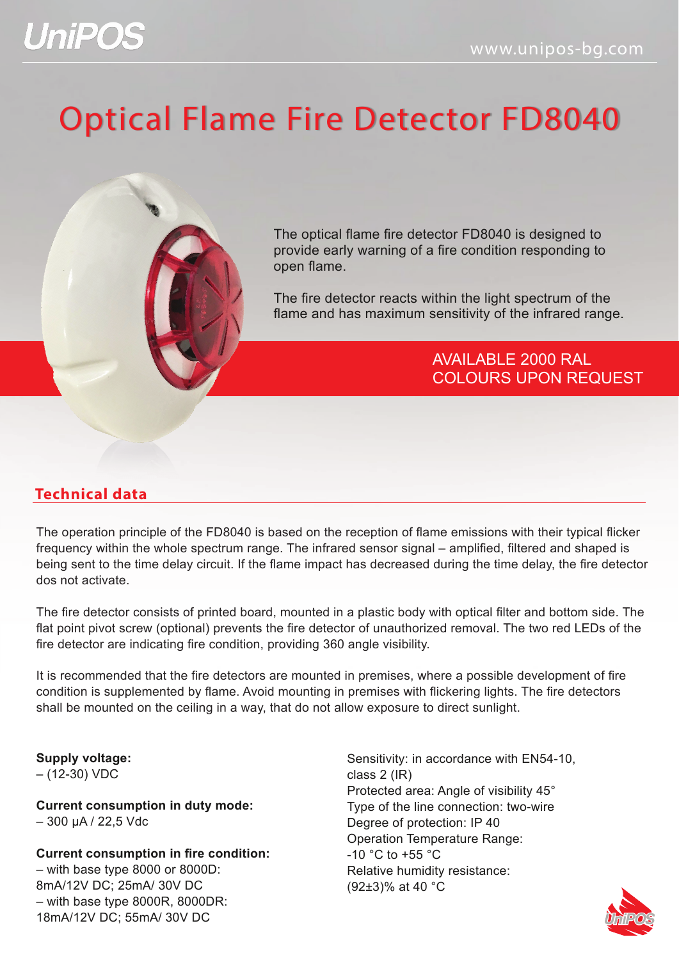## **UniPOS**

# Optical Flame Fire Detector FD8040



The fire detector reacts within the light spectrum of the flame and has maximum sensitivity of the infrared range.

### AVAILABLE 2000 RAL COLOURS UPON REQUEST

### **Technical data**

The operation principle of the FD8040 is based on the reception of flame emissions with their typical flicker frequency within the whole spectrum range. The infrared sensor signal – amplified, filtered and shaped is being sent to the time delay circuit. If the flame impact has decreased during the time delay, the fire detector dos not activate.

The fire detector consists of printed board, mounted in a plastic body with optical filter and bottom side. The flat point pivot screw (optional) prevents the fire detector of unauthorized removal. The two red LEDs of the fire detector are indicating fire condition, providing 360 angle visibility.

It is recommended that the fire detectors are mounted in premises, where a possible development of fire condition is supplemented by flame. Avoid mounting in premises with flickering lights. The fire detectors shall be mounted on the ceiling in a way, that do not allow exposure to direct sunlight.

**Supply voltage:** 

– (12-30) VDC

**Current consumption in duty mode:** – 300 μA / 22,5 Vdc

#### **Current consumption in fire condition:**

– with base type 8000 or 8000D: 8mA/12V DC; 25mA/ 30V DC – with base type 8000R, 8000DR: 18mA/12V DC; 55mA/ 30V DC

Sensitivity: in accordance with EN54-10, class 2 (IR) Protected area: Angle of visibility 45° Type of the line connection: two-wire Degree of protection: IP 40 Operation Temperature Range: -10 °C to +55 °C Relative humidity resistance: (92±3)% at 40 °C